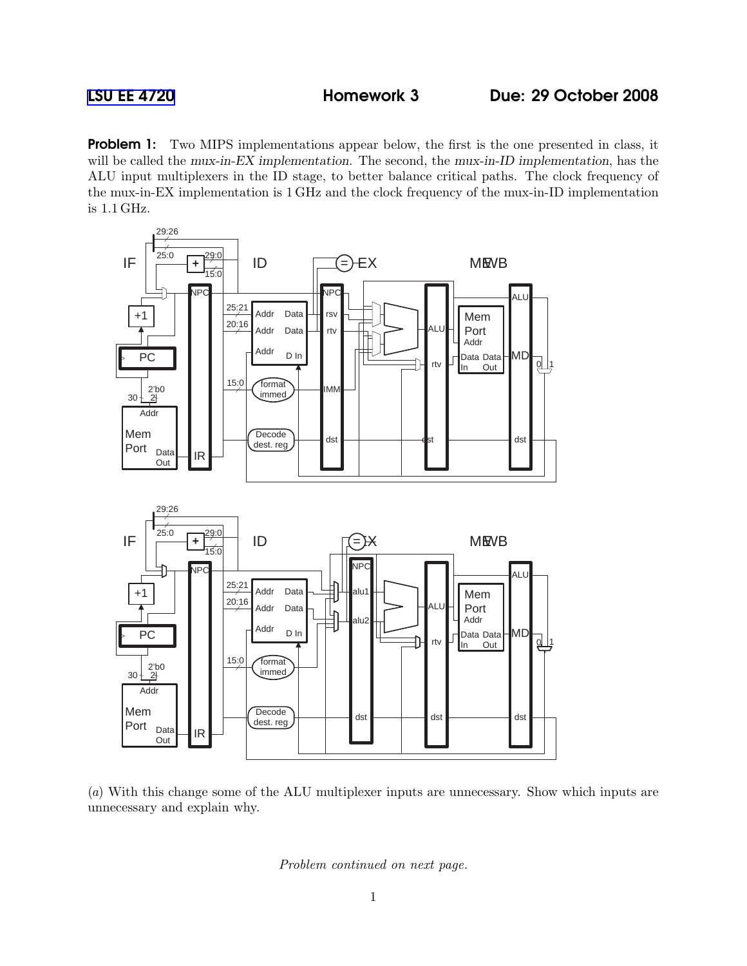**Problem 1:** Two MIPS implementations appear below, the first is the one presented in class, it will be called the mux-in-EX implementation. The second, the mux-in-ID implementation, has the ALU input multiplexers in the ID stage, to better balance critical paths. The clock frequency of the mux-in-EX implementation is 1 GHz and the clock frequency of the mux-in-ID implementation is 1.1 GHz.



(a) With this change some of the ALU multiplexer inputs are unnecessary. Show which inputs are unnecessary and explain why.

Problem continued on next page.